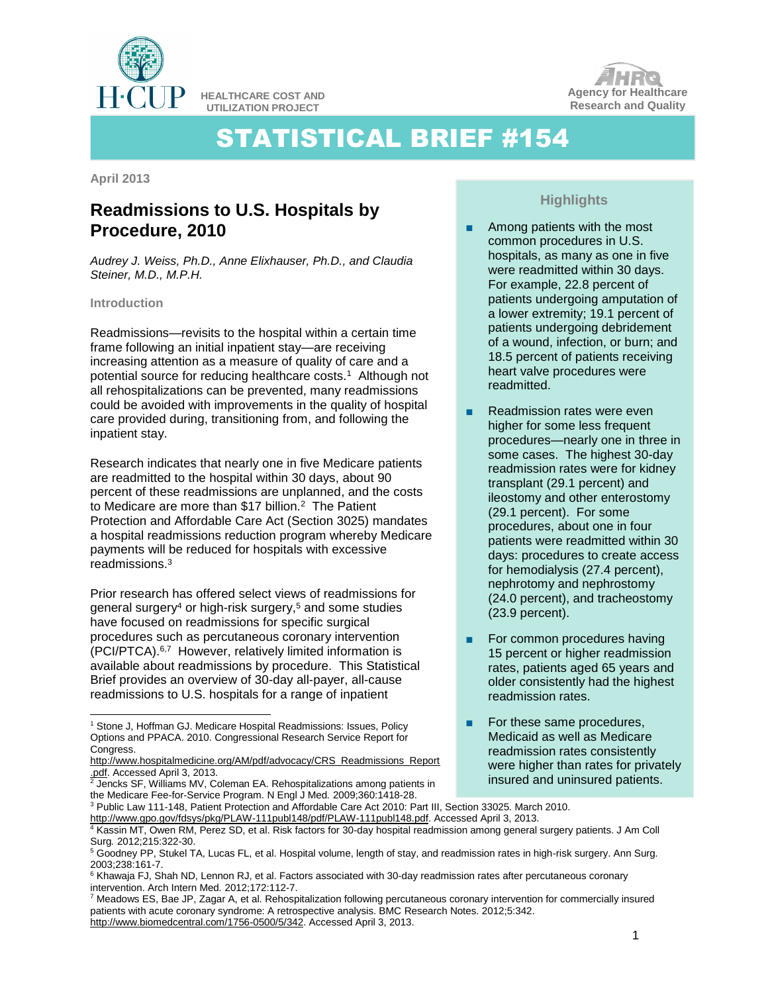

**HEALTHCARE COST AND UTILIZATION PROJECT**



# STATISTICAL BRIEF #154

**April 2013**

## **Readmissions to U.S. Hospitals by Procedure, 2010**

*Audrey J. Weiss, Ph.D., Anne Elixhauser, Ph.D., and Claudia Steiner, M.D., M.P.H.*

#### **Introduction**

l

Readmissions—revisits to the hospital within a certain time frame following an initial inpatient stay—are receiving increasing attention as a measure of quality of care and a potential source for reducing healthcare costs.<sup>1</sup> Although not all rehospitalizations can be prevented, many readmissions could be avoided with improvements in the quality of hospital care provided during, transitioning from, and following the inpatient stay.

Research indicates that nearly one in five Medicare patients are readmitted to the hospital within 30 days, about 90 percent of these readmissions are unplanned, and the costs to Medicare are more than \$17 billion.<sup>2</sup> The Patient Protection and Affordable Care Act (Section 3025) mandates a hospital readmissions reduction program whereby Medicare payments will be reduced for hospitals with excessive readmissions.<sup>3</sup>

Prior research has offered select views of readmissions for general surgery<sup>4</sup> or high-risk surgery, <sup>5</sup> and some studies have focused on readmissions for specific surgical procedures such as percutaneous coronary intervention (PCI/PTCA). 6,7 However, relatively limited information is available about readmissions by procedure. This Statistical Brief provides an overview of 30-day all-payer, all-cause readmissions to U.S. hospitals for a range of inpatient

 $2$  Jencks SF, Williams MV, Coleman EA. Rehospitalizations among patients in the Medicare Fee-for-Service Program. N Engl J Med*.* 2009;360:1418-28.

### **Highlights**

- Among patients with the most common procedures in U.S. hospitals, as many as one in five were readmitted within 30 days. For example, 22.8 percent of patients undergoing amputation of a lower extremity; 19.1 percent of patients undergoing debridement of a wound, infection, or burn; and 18.5 percent of patients receiving heart valve procedures were readmitted.
- Readmission rates were even higher for some less frequent procedures—nearly one in three in some cases. The highest 30-day readmission rates were for kidney transplant (29.1 percent) and ileostomy and other enterostomy (29.1 percent). For some procedures, about one in four patients were readmitted within 30 days: procedures to create access for hemodialysis (27.4 percent), nephrotomy and nephrostomy (24.0 percent), and tracheostomy (23.9 percent).
- For common procedures having 15 percent or higher readmission rates, patients aged 65 years and older consistently had the highest readmission rates.
- For these same procedures, Medicaid as well as Medicare readmission rates consistently were higher than rates for privately insured and uninsured patients.

<sup>&</sup>lt;sup>1</sup> Stone J, Hoffman GJ. Medicare Hospital Readmissions: Issues, Policy Options and PPACA. 2010. Congressional Research Service Report for Congress.

[http://www.hospitalmedicine.org/AM/pdf/advocacy/CRS\\_Readmissions\\_Report](http://www.hospitalmedicine.org/AM/pdf/advocacy/CRS_Readmissions_Report.pdf) [.pdf.](http://www.hospitalmedicine.org/AM/pdf/advocacy/CRS_Readmissions_Report.pdf) Accessed April 3, 2013.

<sup>3</sup> Public Law 111-148, Patient Protection and Affordable Care Act 2010: Part III, Section 33025. March 2010. [http://www.gpo.gov/fdsys/pkg/PLAW-111publ148/pdf/PLAW-111publ148.pdf.](http://www.gpo.gov/fdsys/pkg/PLAW-111publ148/pdf/PLAW-111publ148.pdf) Accessed April 3, 2013.

<sup>4</sup> Kassin MT, Owen RM, Perez SD, et al. Risk factors for 30-day hospital readmission among general surgery patients. J Am Coll Surg*.* 2012;215:322-30.

<sup>5</sup> Goodney PP, Stukel TA, Lucas FL, et al. Hospital volume, length of stay, and readmission rates in high-risk surgery. Ann Surg*.* 2003;238:161-7.

<sup>&</sup>lt;sup>6</sup> Khawaja FJ, Shah ND, Lennon RJ, et al. Factors associated with 30-day readmission rates after percutaneous coronary intervention. Arch Intern Med*.* 2012;172:112-7.

<sup>7</sup> Meadows ES, Bae JP, Zagar A, et al. Rehospitalization following percutaneous coronary intervention for commercially insured patients with acute coronary syndrome: A retrospective analysis. BMC Research Notes. 2012;5:342. [http://www.biomedcentral.com/1756-0500/5/342.](http://www.biomedcentral.com/1756-0500/5/342) Accessed April 3, 2013.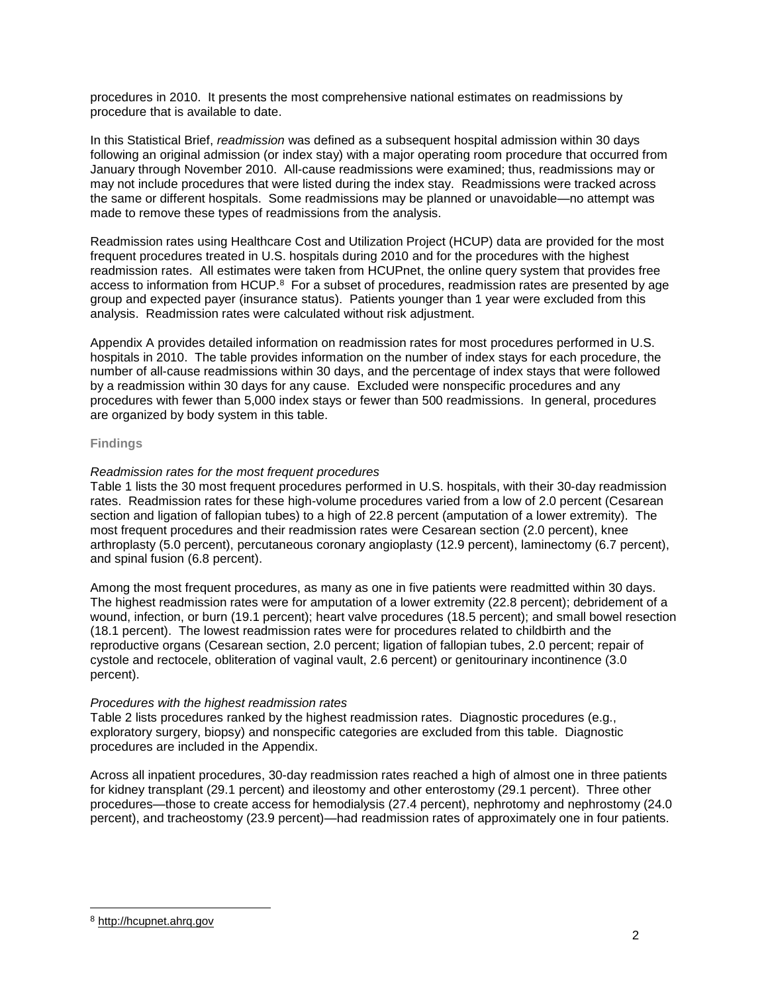procedures in 2010. It presents the most comprehensive national estimates on readmissions by procedure that is available to date.

In this Statistical Brief, *readmission* was defined as a subsequent hospital admission within 30 days following an original admission (or index stay) with a major operating room procedure that occurred from January through November 2010. All-cause readmissions were examined; thus, readmissions may or may not include procedures that were listed during the index stay. Readmissions were tracked across the same or different hospitals. Some readmissions may be planned or unavoidable—no attempt was made to remove these types of readmissions from the analysis.

Readmission rates using Healthcare Cost and Utilization Project (HCUP) data are provided for the most frequent procedures treated in U.S. hospitals during 2010 and for the procedures with the highest readmission rates. All estimates were taken from HCUPnet, the online query system that provides free access to information from HCUP. $8$  For a subset of procedures, readmission rates are presented by age group and expected payer (insurance status). Patients younger than 1 year were excluded from this analysis. Readmission rates were calculated without risk adjustment.

Appendix A provides detailed information on readmission rates for most procedures performed in U.S. hospitals in 2010. The table provides information on the number of index stays for each procedure, the number of all-cause readmissions within 30 days, and the percentage of index stays that were followed by a readmission within 30 days for any cause. Excluded were nonspecific procedures and any procedures with fewer than 5,000 index stays or fewer than 500 readmissions. In general, procedures are organized by body system in this table.

#### **Findings**

#### *Readmission rates for the most frequent procedures*

Table 1 lists the 30 most frequent procedures performed in U.S. hospitals, with their 30-day readmission rates. Readmission rates for these high-volume procedures varied from a low of 2.0 percent (Cesarean section and ligation of fallopian tubes) to a high of 22.8 percent (amputation of a lower extremity). The most frequent procedures and their readmission rates were Cesarean section (2.0 percent), knee arthroplasty (5.0 percent), percutaneous coronary angioplasty (12.9 percent), laminectomy (6.7 percent), and spinal fusion (6.8 percent).

Among the most frequent procedures, as many as one in five patients were readmitted within 30 days. The highest readmission rates were for amputation of a lower extremity (22.8 percent); debridement of a wound, infection, or burn (19.1 percent); heart valve procedures (18.5 percent); and small bowel resection (18.1 percent). The lowest readmission rates were for procedures related to childbirth and the reproductive organs (Cesarean section, 2.0 percent; ligation of fallopian tubes, 2.0 percent; repair of cystole and rectocele, obliteration of vaginal vault, 2.6 percent) or genitourinary incontinence (3.0 percent).

#### *Procedures with the highest readmission rates*

Table 2 lists procedures ranked by the highest readmission rates. Diagnostic procedures (e.g., exploratory surgery, biopsy) and nonspecific categories are excluded from this table. Diagnostic procedures are included in the Appendix.

Across all inpatient procedures, 30-day readmission rates reached a high of almost one in three patients for kidney transplant (29.1 percent) and ileostomy and other enterostomy (29.1 percent). Three other procedures—those to create access for hemodialysis (27.4 percent), nephrotomy and nephrostomy (24.0 percent), and tracheostomy (23.9 percent)—had readmission rates of approximately one in four patients.

l

<sup>8</sup> [http://hcupnet.ahrq.gov](http://hcupnet.ahrq.gov/)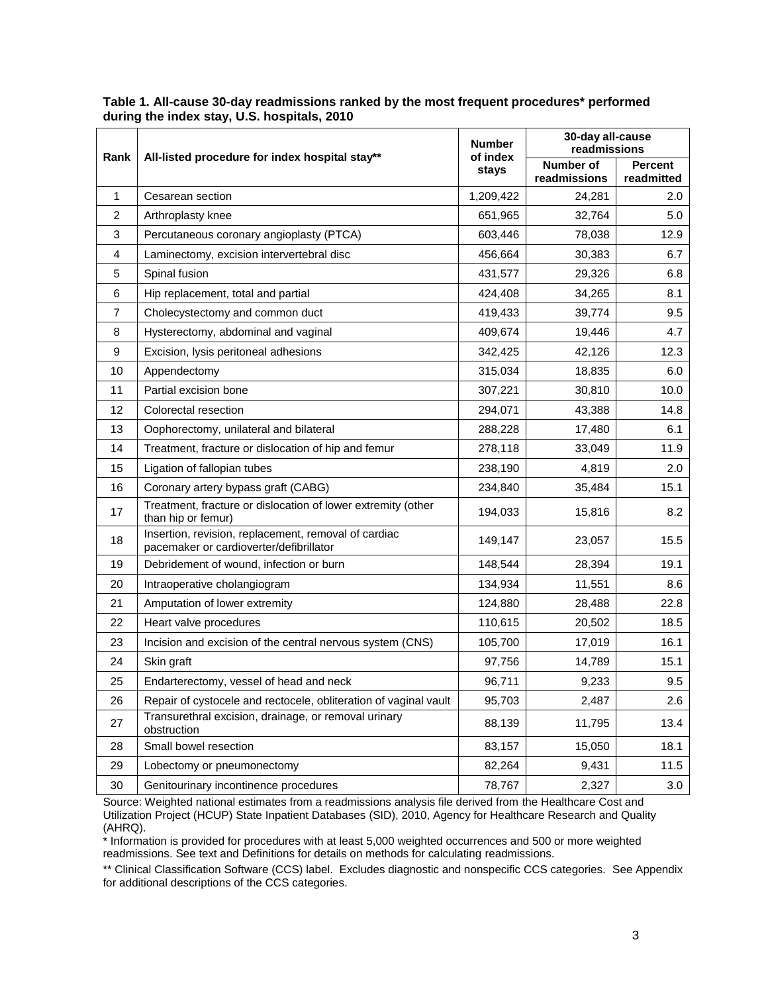| Rank           |                                                                                                 | <b>Number</b><br>of index | 30-day all-cause<br>readmissions |                              |
|----------------|-------------------------------------------------------------------------------------------------|---------------------------|----------------------------------|------------------------------|
|                | All-listed procedure for index hospital stay**                                                  | stays                     | Number of<br>readmissions        | <b>Percent</b><br>readmitted |
| $\mathbf{1}$   | Cesarean section                                                                                | 1,209,422                 | 24,281                           | 2.0                          |
| 2              | Arthroplasty knee                                                                               | 651,965                   | 32,764                           | 5.0                          |
| 3              | Percutaneous coronary angioplasty (PTCA)                                                        | 603,446                   | 78,038                           | 12.9                         |
| $\overline{4}$ | Laminectomy, excision intervertebral disc                                                       | 456,664                   | 30,383                           | 6.7                          |
| 5              | Spinal fusion                                                                                   | 431,577                   | 29,326                           | 6.8                          |
| 6              | Hip replacement, total and partial                                                              | 424,408                   | 34,265                           | 8.1                          |
| $\overline{7}$ | Cholecystectomy and common duct                                                                 | 419,433                   | 39,774                           | 9.5                          |
| 8              | Hysterectomy, abdominal and vaginal                                                             | 409,674                   | 19,446                           | 4.7                          |
| 9              | Excision, lysis peritoneal adhesions                                                            | 342,425                   | 42,126                           | 12.3                         |
| 10             | Appendectomy                                                                                    | 315,034                   | 18,835                           | 6.0                          |
| 11             | Partial excision bone                                                                           | 307,221                   | 30,810                           | 10.0                         |
| 12             | Colorectal resection                                                                            | 294,071                   | 43,388                           | 14.8                         |
| 13             | Oophorectomy, unilateral and bilateral                                                          | 288,228                   | 17,480                           | 6.1                          |
| 14             | Treatment, fracture or dislocation of hip and femur                                             | 278,118                   | 33,049                           | 11.9                         |
| 15             | Ligation of fallopian tubes                                                                     | 238,190                   | 4,819                            | 2.0                          |
| 16             | Coronary artery bypass graft (CABG)                                                             | 234,840                   | 35,484                           | 15.1                         |
| 17             | Treatment, fracture or dislocation of lower extremity (other<br>than hip or femur)              | 194,033                   | 15,816                           | 8.2                          |
| 18             | Insertion, revision, replacement, removal of cardiac<br>pacemaker or cardioverter/defibrillator | 149,147                   | 23,057                           | 15.5                         |
| 19             | Debridement of wound, infection or burn                                                         | 148,544                   | 28,394                           | 19.1                         |
| 20             | Intraoperative cholangiogram                                                                    | 134,934                   | 11,551                           | 8.6                          |
| 21             | Amputation of lower extremity                                                                   | 124,880                   | 28,488                           | 22.8                         |
| 22             | Heart valve procedures                                                                          | 110,615                   | 20,502                           | 18.5                         |
| 23             | Incision and excision of the central nervous system (CNS)                                       | 105,700                   | 17,019                           | 16.1                         |
| 24             | Skin graft                                                                                      | 97,756                    | 14,789                           | 15.1                         |
| 25             | Endarterectomy, vessel of head and neck                                                         | 96,711                    | 9,233                            | 9.5                          |
| 26             | Repair of cystocele and rectocele, obliteration of vaginal vault                                | 95,703                    | 2,487                            | 2.6                          |
| 27             | Transurethral excision, drainage, or removal urinary<br>obstruction                             | 88,139                    | 11,795                           | 13.4                         |
| 28             | Small bowel resection                                                                           | 83,157                    | 15,050                           | 18.1                         |
| 29             | Lobectomy or pneumonectomy                                                                      | 82,264                    | 9,431                            | 11.5                         |
| 30             | Genitourinary incontinence procedures                                                           | 78,767                    | 2,327                            | 3.0                          |

#### **Table 1. All-cause 30-day readmissions ranked by the most frequent procedures\* performed during the index stay, U.S. hospitals, 2010**

Source: Weighted national estimates from a readmissions analysis file derived from the Healthcare Cost and Utilization Project (HCUP) State Inpatient Databases (SID), 2010, Agency for Healthcare Research and Quality (AHRQ).

\* Information is provided for procedures with at least 5,000 weighted occurrences and 500 or more weighted readmissions. See text and Definitions for details on methods for calculating readmissions.

\*\* Clinical Classification Software (CCS) label. Excludes diagnostic and nonspecific CCS categories. See Appendix for additional descriptions of the CCS categories.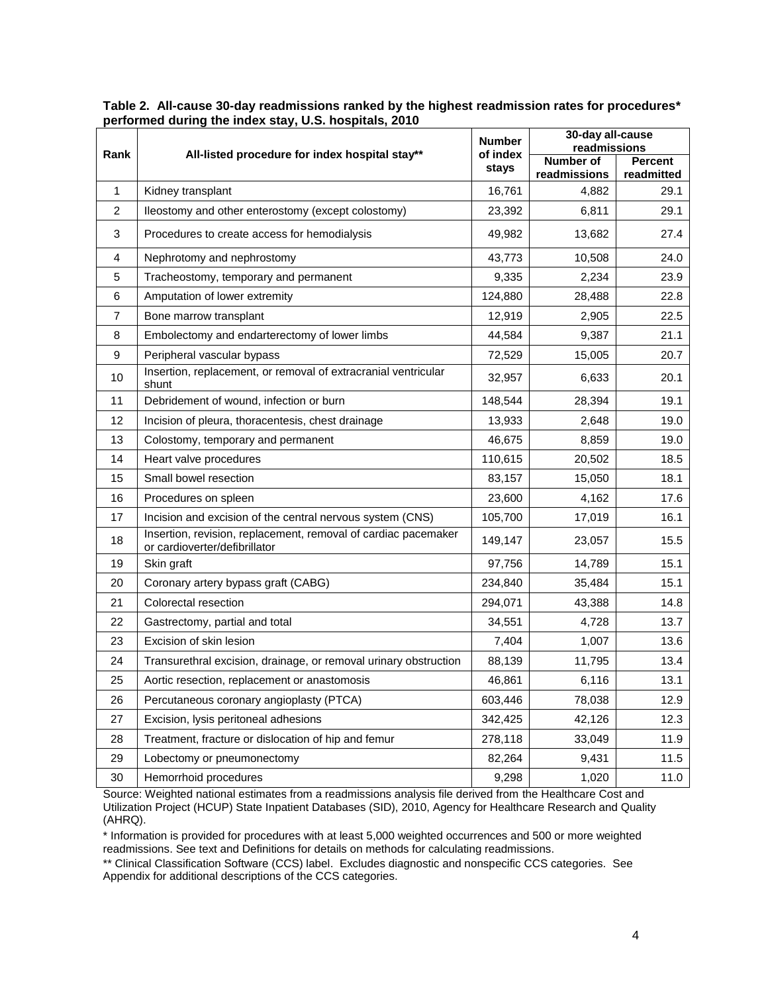|                | All-listed procedure for index hospital stay**                                                  | <b>Number</b><br>of index | 30-day all-cause                            |            |
|----------------|-------------------------------------------------------------------------------------------------|---------------------------|---------------------------------------------|------------|
| Rank           |                                                                                                 |                           | readmissions<br>Number of<br><b>Percent</b> |            |
|                |                                                                                                 | stays                     | readmissions                                | readmitted |
| $\mathbf{1}$   | Kidney transplant                                                                               | 16,761                    | 4,882                                       | 29.1       |
| $\overline{c}$ | lleostomy and other enterostomy (except colostomy)                                              | 23,392                    | 6,811                                       | 29.1       |
| 3              | Procedures to create access for hemodialysis                                                    | 49,982                    | 13,682                                      | 27.4       |
| 4              | Nephrotomy and nephrostomy                                                                      | 43,773                    | 10,508                                      | 24.0       |
| 5              | Tracheostomy, temporary and permanent                                                           | 9,335                     | 2,234                                       | 23.9       |
| 6              | Amputation of lower extremity                                                                   | 124,880                   | 28,488                                      | 22.8       |
| $\overline{7}$ | Bone marrow transplant                                                                          | 12,919                    | 2,905                                       | 22.5       |
| 8              | Embolectomy and endarterectomy of lower limbs                                                   | 44,584                    | 9,387                                       | 21.1       |
| 9              | Peripheral vascular bypass                                                                      | 72,529                    | 15,005                                      | 20.7       |
| 10             | Insertion, replacement, or removal of extracranial ventricular<br>shunt                         | 32,957                    | 6,633                                       | 20.1       |
| 11             | Debridement of wound, infection or burn                                                         | 148,544                   | 28,394                                      | 19.1       |
| 12             | Incision of pleura, thoracentesis, chest drainage                                               | 13,933                    | 2,648                                       | 19.0       |
| 13             | Colostomy, temporary and permanent                                                              | 46,675                    | 8,859                                       | 19.0       |
| 14             | Heart valve procedures                                                                          | 110,615                   | 20,502                                      | 18.5       |
| 15             | Small bowel resection                                                                           | 83,157                    | 15,050                                      | 18.1       |
| 16             | Procedures on spleen                                                                            | 23,600                    | 4,162                                       | 17.6       |
| 17             | Incision and excision of the central nervous system (CNS)                                       | 105,700                   | 17,019                                      | 16.1       |
| 18             | Insertion, revision, replacement, removal of cardiac pacemaker<br>or cardioverter/defibrillator | 149,147                   | 23,057                                      | 15.5       |
| 19             | Skin graft                                                                                      | 97,756                    | 14,789                                      | 15.1       |
| 20             | Coronary artery bypass graft (CABG)                                                             | 234,840                   | 35,484                                      | 15.1       |
| 21             | Colorectal resection                                                                            | 294,071                   | 43,388                                      | 14.8       |
| 22             | Gastrectomy, partial and total                                                                  | 34,551                    | 4,728                                       | 13.7       |
| 23             | Excision of skin lesion                                                                         | 7,404                     | 1,007                                       | 13.6       |
| 24             | Transurethral excision, drainage, or removal urinary obstruction                                | 88,139                    | 11,795                                      | 13.4       |
| 25             | Aortic resection, replacement or anastomosis                                                    | 46,861                    | 6,116                                       | 13.1       |
| 26             | Percutaneous coronary angioplasty (PTCA)                                                        | 603,446                   | 78,038                                      | 12.9       |
| 27             | Excision, lysis peritoneal adhesions                                                            | 342,425                   | 42,126                                      | 12.3       |
| 28             | Treatment, fracture or dislocation of hip and femur                                             | 278,118                   | 33,049                                      | 11.9       |
| 29             | Lobectomy or pneumonectomy                                                                      | 82,264                    | 9,431                                       | 11.5       |
| 30             | Hemorrhoid procedures                                                                           | 9,298                     | 1,020                                       | 11.0       |

**Table 2. All-cause 30-day readmissions ranked by the highest readmission rates for procedures\* performed during the index stay, U.S. hospitals, 2010**

Source: Weighted national estimates from a readmissions analysis file derived from the Healthcare Cost and Utilization Project (HCUP) State Inpatient Databases (SID), 2010, Agency for Healthcare Research and Quality (AHRQ).

\* Information is provided for procedures with at least 5,000 weighted occurrences and 500 or more weighted readmissions. See text and Definitions for details on methods for calculating readmissions.

\*\* Clinical Classification Software (CCS) label. Excludes diagnostic and nonspecific CCS categories. See Appendix for additional descriptions of the CCS categories.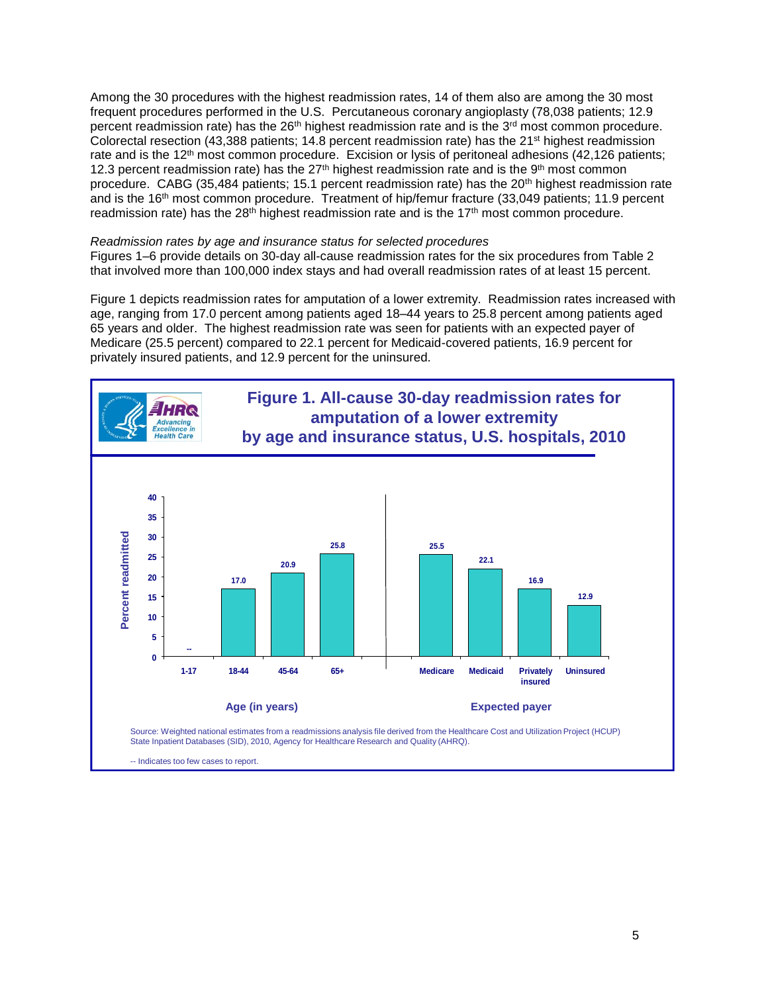Among the 30 procedures with the highest readmission rates, 14 of them also are among the 30 most frequent procedures performed in the U.S. Percutaneous coronary angioplasty (78,038 patients; 12.9 percent readmission rate) has the 26<sup>th</sup> highest readmission rate and is the 3<sup>rd</sup> most common procedure. Colorectal resection (43,388 patients; 14.8 percent readmission rate) has the 21st highest readmission rate and is the 12<sup>th</sup> most common procedure. Excision or lysis of peritoneal adhesions (42,126 patients; 12.3 percent readmission rate) has the  $27<sup>th</sup>$  highest readmission rate and is the 9<sup>th</sup> most common procedure. CABG (35,484 patients; 15.1 percent readmission rate) has the 20<sup>th</sup> highest readmission rate and is the 16th most common procedure. Treatment of hip/femur fracture (33,049 patients; 11.9 percent readmission rate) has the  $28<sup>th</sup>$  highest readmission rate and is the  $17<sup>th</sup>$  most common procedure.

#### *Readmission rates by age and insurance status for selected procedures*

Figures 1–6 provide details on 30-day all-cause readmission rates for the six procedures from Table 2 that involved more than 100,000 index stays and had overall readmission rates of at least 15 percent.

Figure 1 depicts readmission rates for amputation of a lower extremity. Readmission rates increased with age, ranging from 17.0 percent among patients aged 18–44 years to 25.8 percent among patients aged 65 years and older. The highest readmission rate was seen for patients with an expected payer of Medicare (25.5 percent) compared to 22.1 percent for Medicaid-covered patients, 16.9 percent for privately insured patients, and 12.9 percent for the uninsured.

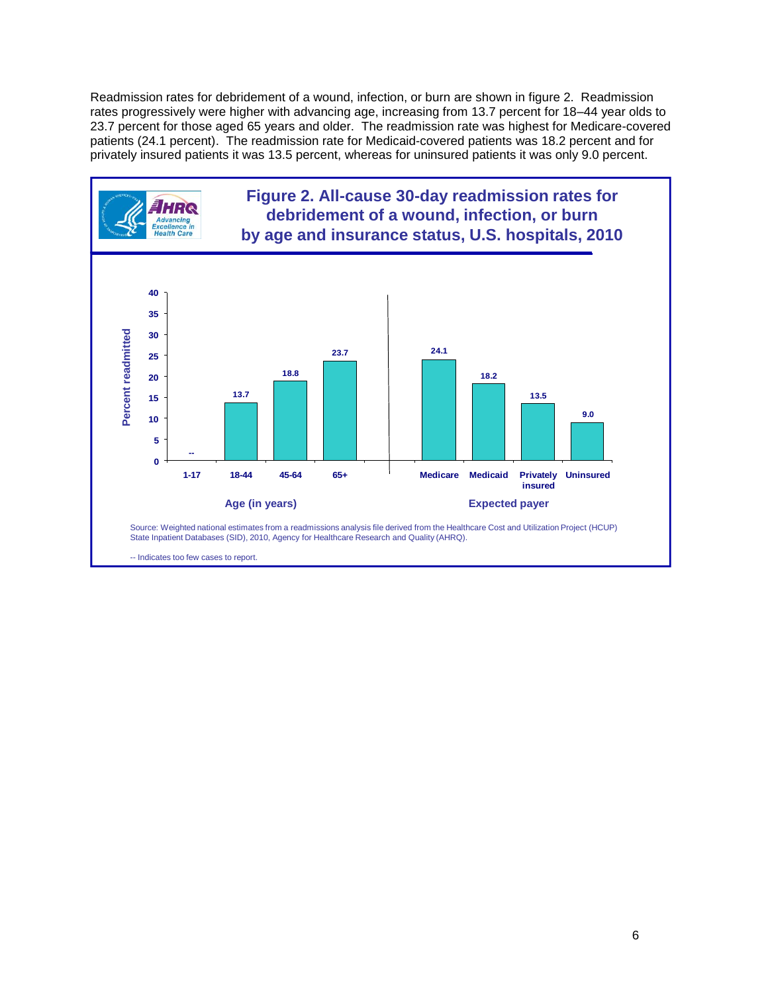Readmission rates for debridement of a wound, infection, or burn are shown in figure 2. Readmission rates progressively were higher with advancing age, increasing from 13.7 percent for 18–44 year olds to 23.7 percent for those aged 65 years and older. The readmission rate was highest for Medicare-covered patients (24.1 percent). The readmission rate for Medicaid-covered patients was 18.2 percent and for privately insured patients it was 13.5 percent, whereas for uninsured patients it was only 9.0 percent.

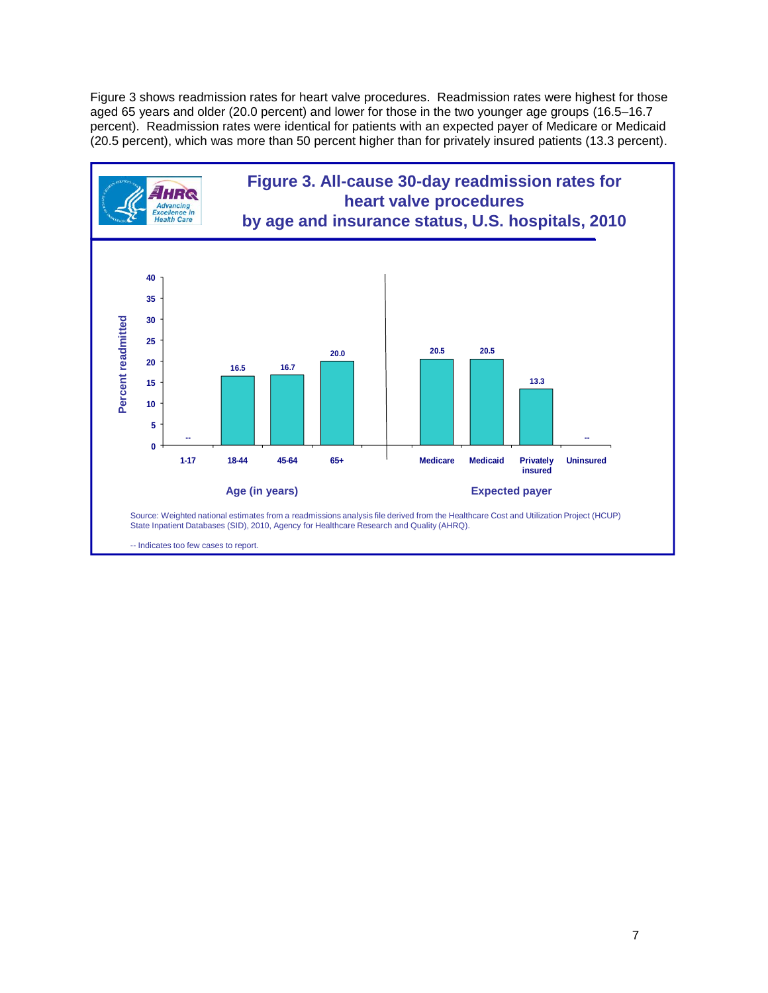Figure 3 shows readmission rates for heart valve procedures. Readmission rates were highest for those aged 65 years and older (20.0 percent) and lower for those in the two younger age groups (16.5–16.7 percent). Readmission rates were identical for patients with an expected payer of Medicare or Medicaid (20.5 percent), which was more than 50 percent higher than for privately insured patients (13.3 percent).

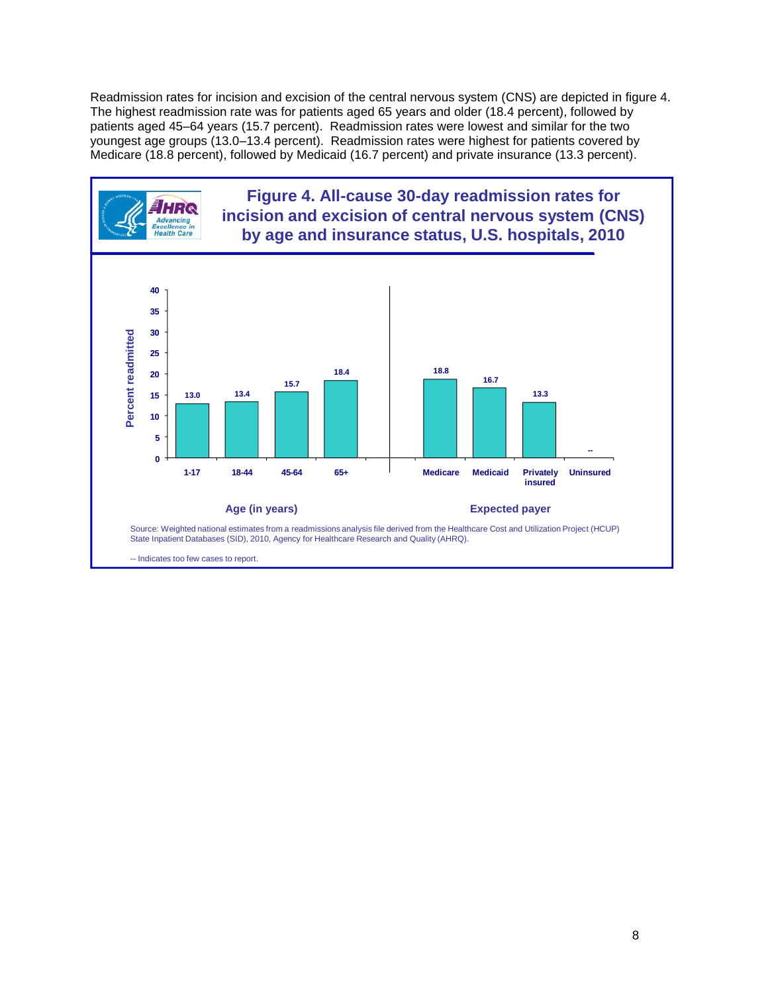Readmission rates for incision and excision of the central nervous system (CNS) are depicted in figure 4. The highest readmission rate was for patients aged 65 years and older (18.4 percent), followed by patients aged 45–64 years (15.7 percent). Readmission rates were lowest and similar for the two youngest age groups (13.0–13.4 percent). Readmission rates were highest for patients covered by Medicare (18.8 percent), followed by Medicaid (16.7 percent) and private insurance (13.3 percent).

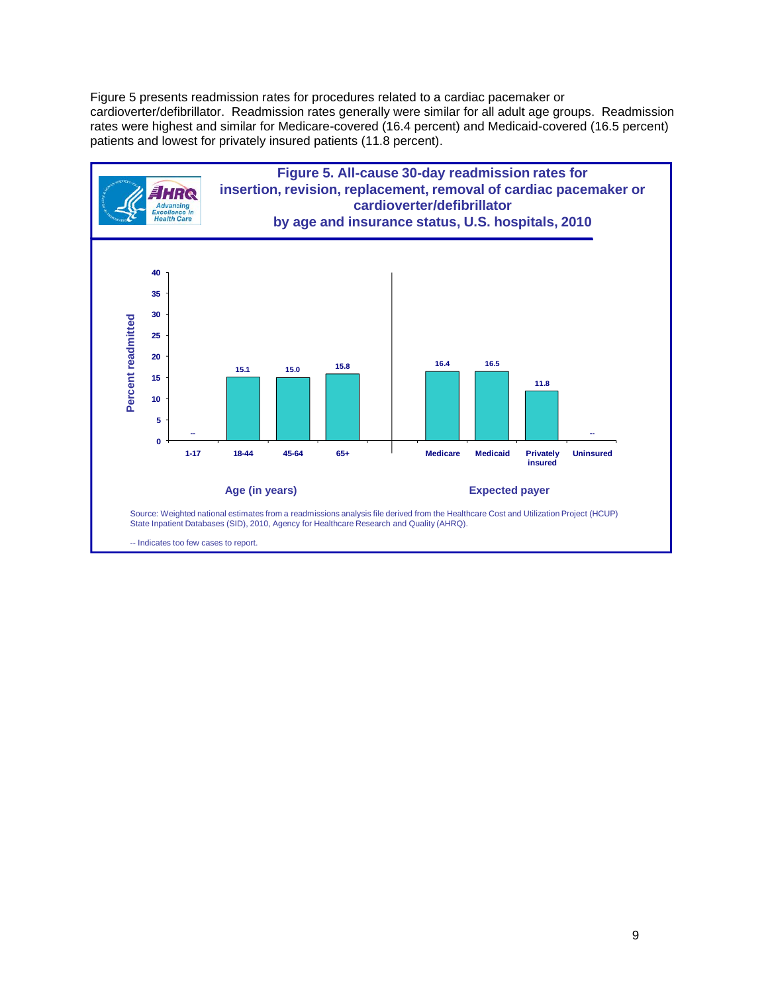Figure 5 presents readmission rates for procedures related to a cardiac pacemaker or cardioverter/defibrillator. Readmission rates generally were similar for all adult age groups. Readmission rates were highest and similar for Medicare-covered (16.4 percent) and Medicaid-covered (16.5 percent) patients and lowest for privately insured patients (11.8 percent).

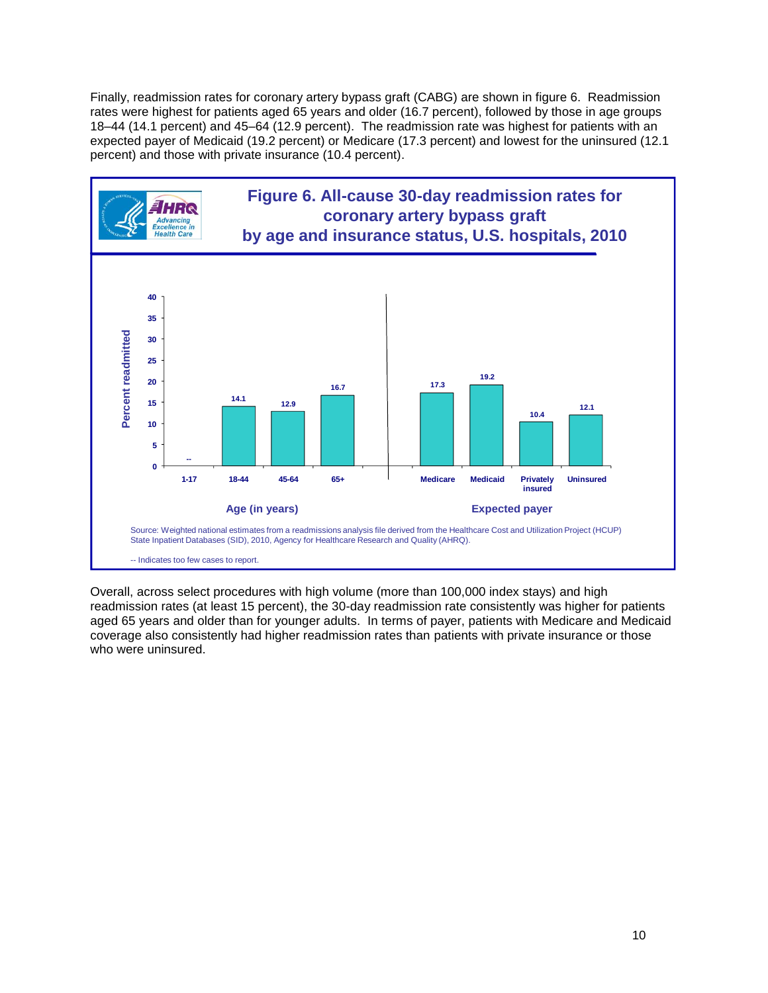Finally, readmission rates for coronary artery bypass graft (CABG) are shown in figure 6. Readmission rates were highest for patients aged 65 years and older (16.7 percent), followed by those in age groups 18–44 (14.1 percent) and 45–64 (12.9 percent). The readmission rate was highest for patients with an expected payer of Medicaid (19.2 percent) or Medicare (17.3 percent) and lowest for the uninsured (12.1 percent) and those with private insurance (10.4 percent).



Overall, across select procedures with high volume (more than 100,000 index stays) and high readmission rates (at least 15 percent), the 30-day readmission rate consistently was higher for patients aged 65 years and older than for younger adults. In terms of payer, patients with Medicare and Medicaid coverage also consistently had higher readmission rates than patients with private insurance or those who were uninsured.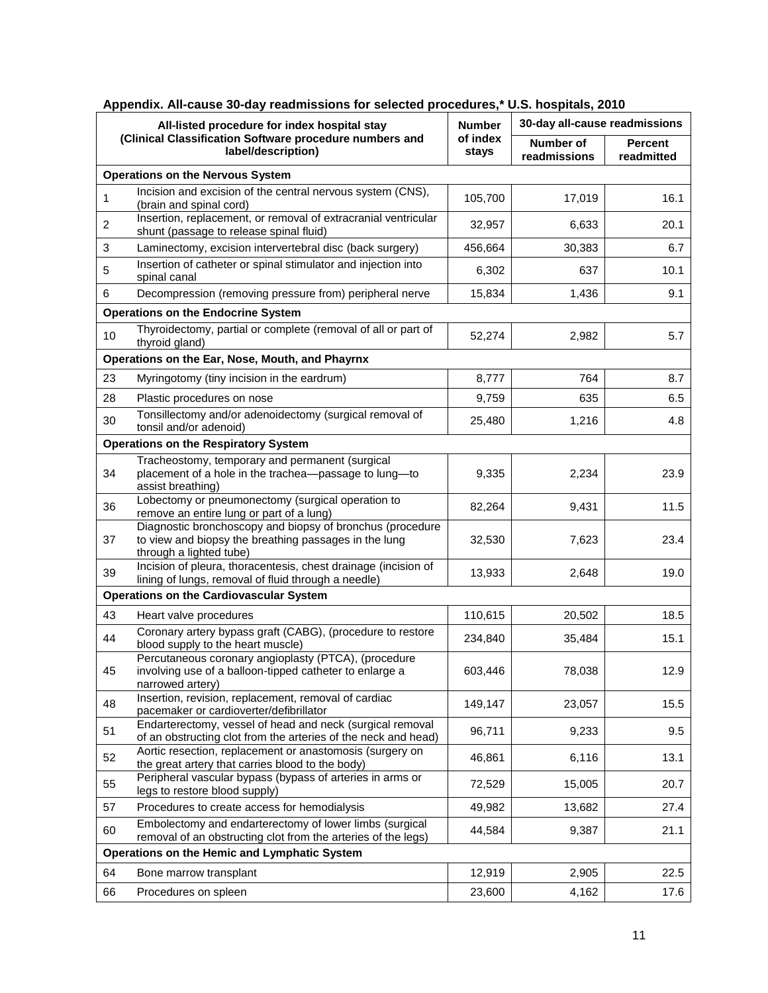| All-listed procedure for index hospital stay<br>(Clinical Classification Software procedure numbers and<br>label/description) |                                                                                                                                               | <b>Number</b>     | 30-day all-cause readmissions    |                              |
|-------------------------------------------------------------------------------------------------------------------------------|-----------------------------------------------------------------------------------------------------------------------------------------------|-------------------|----------------------------------|------------------------------|
|                                                                                                                               |                                                                                                                                               | of index<br>stays | <b>Number of</b><br>readmissions | <b>Percent</b><br>readmitted |
|                                                                                                                               | <b>Operations on the Nervous System</b>                                                                                                       |                   |                                  |                              |
| $\mathbf{1}$                                                                                                                  | Incision and excision of the central nervous system (CNS),<br>(brain and spinal cord)                                                         | 105,700           | 17,019                           | 16.1                         |
| $\overline{c}$                                                                                                                | Insertion, replacement, or removal of extracranial ventricular<br>shunt (passage to release spinal fluid)                                     | 32,957            | 6,633                            | 20.1                         |
| 3                                                                                                                             | Laminectomy, excision intervertebral disc (back surgery)                                                                                      | 456,664           | 30,383                           | 6.7                          |
| 5                                                                                                                             | Insertion of catheter or spinal stimulator and injection into<br>spinal canal                                                                 | 6,302             | 637                              | 10.1                         |
| 6                                                                                                                             | Decompression (removing pressure from) peripheral nerve                                                                                       | 15,834            | 1,436                            | 9.1                          |
|                                                                                                                               | <b>Operations on the Endocrine System</b>                                                                                                     |                   |                                  |                              |
| 10                                                                                                                            | Thyroidectomy, partial or complete (removal of all or part of<br>thyroid gland)                                                               | 52,274            | 2,982                            | 5.7                          |
|                                                                                                                               | Operations on the Ear, Nose, Mouth, and Phayrnx                                                                                               |                   |                                  |                              |
| 23                                                                                                                            | Myringotomy (tiny incision in the eardrum)                                                                                                    | 8,777             | 764                              | 8.7                          |
| 28                                                                                                                            | Plastic procedures on nose                                                                                                                    | 9,759             | 635                              | 6.5                          |
| 30                                                                                                                            | Tonsillectomy and/or adenoidectomy (surgical removal of<br>tonsil and/or adenoid)                                                             | 25,480            | 1,216                            | 4.8                          |
|                                                                                                                               | <b>Operations on the Respiratory System</b>                                                                                                   |                   |                                  |                              |
| 34                                                                                                                            | Tracheostomy, temporary and permanent (surgical<br>placement of a hole in the trachea-passage to lung-to<br>assist breathing)                 | 9,335             | 2,234                            | 23.9                         |
| 36                                                                                                                            | Lobectomy or pneumonectomy (surgical operation to<br>remove an entire lung or part of a lung)                                                 | 82,264            | 9,431                            | 11.5                         |
| 37                                                                                                                            | Diagnostic bronchoscopy and biopsy of bronchus (procedure<br>to view and biopsy the breathing passages in the lung<br>through a lighted tube) | 32,530            | 7,623                            | 23.4                         |
| 39                                                                                                                            | Incision of pleura, thoracentesis, chest drainage (incision of<br>lining of lungs, removal of fluid through a needle)                         | 13,933            | 2,648                            | 19.0                         |
|                                                                                                                               | <b>Operations on the Cardiovascular System</b>                                                                                                |                   |                                  |                              |
| 43                                                                                                                            | Heart valve procedures                                                                                                                        | 110,615           | 20,502                           | 18.5                         |
| 44                                                                                                                            | Coronary artery bypass graft (CABG), (procedure to restore<br>blood supply to the heart muscle)                                               | 234,840           | 35,484                           | 15.1                         |
| 45                                                                                                                            | Percutaneous coronary angioplasty (PTCA), (procedure<br>involving use of a balloon-tipped catheter to enlarge a<br>narrowed artery)           | 603,446           | 78,038                           | 12.9                         |
| 48                                                                                                                            | Insertion, revision, replacement, removal of cardiac<br>pacemaker or cardioverter/defibrillator                                               | 149,147           | 23,057                           | 15.5                         |
| 51                                                                                                                            | Endarterectomy, vessel of head and neck (surgical removal<br>of an obstructing clot from the arteries of the neck and head)                   | 96,711            | 9,233                            | 9.5                          |
| 52                                                                                                                            | Aortic resection, replacement or anastomosis (surgery on<br>the great artery that carries blood to the body)                                  | 46,861            | 6,116                            | 13.1                         |
| 55                                                                                                                            | Peripheral vascular bypass (bypass of arteries in arms or<br>legs to restore blood supply)                                                    | 72,529            | 15,005                           | 20.7                         |
| 57                                                                                                                            | Procedures to create access for hemodialysis                                                                                                  | 49,982            | 13,682                           | 27.4                         |
| 60                                                                                                                            | Embolectomy and endarterectomy of lower limbs (surgical<br>removal of an obstructing clot from the arteries of the legs)                      | 44,584            | 9,387                            | 21.1                         |
|                                                                                                                               | Operations on the Hemic and Lymphatic System                                                                                                  |                   |                                  |                              |
| 64                                                                                                                            | Bone marrow transplant                                                                                                                        | 12,919            | 2,905                            | 22.5                         |
| 66                                                                                                                            | Procedures on spleen                                                                                                                          | 23,600            | 4,162                            | 17.6                         |

## **Appendix. All-cause 30-day readmissions for selected procedures,\* U.S. hospitals, 2010**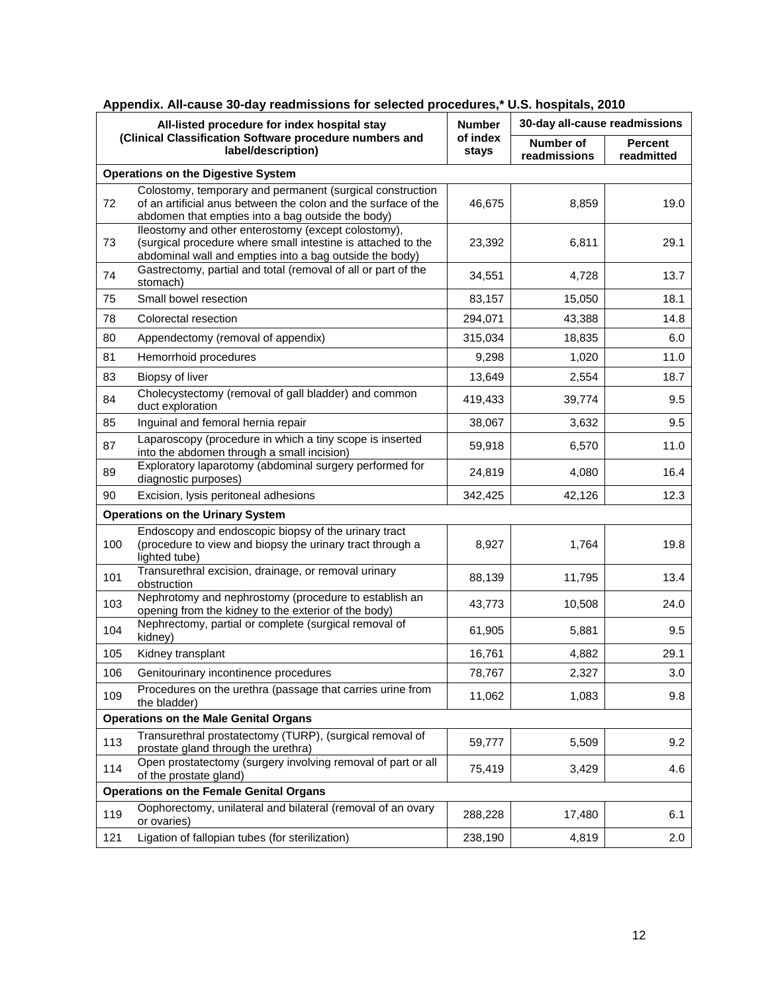| All-listed procedure for index hospital stay<br>(Clinical Classification Software procedure numbers and<br>label/description) |                                                                                                                                                                                  | <b>Number</b>     | 30-day all-cause readmissions |                              |
|-------------------------------------------------------------------------------------------------------------------------------|----------------------------------------------------------------------------------------------------------------------------------------------------------------------------------|-------------------|-------------------------------|------------------------------|
|                                                                                                                               |                                                                                                                                                                                  | of index<br>stays | Number of<br>readmissions     | <b>Percent</b><br>readmitted |
|                                                                                                                               | <b>Operations on the Digestive System</b>                                                                                                                                        |                   |                               |                              |
| 72                                                                                                                            | Colostomy, temporary and permanent (surgical construction<br>of an artificial anus between the colon and the surface of the<br>abdomen that empties into a bag outside the body) | 46,675            | 8,859                         | 19.0                         |
| 73                                                                                                                            | lleostomy and other enterostomy (except colostomy),<br>(surgical procedure where small intestine is attached to the<br>abdominal wall and empties into a bag outside the body)   | 23,392            | 6,811                         | 29.1                         |
| 74                                                                                                                            | Gastrectomy, partial and total (removal of all or part of the<br>stomach)                                                                                                        | 34,551            | 4,728                         | 13.7                         |
| 75                                                                                                                            | Small bowel resection                                                                                                                                                            | 83,157            | 15,050                        | 18.1                         |
| 78                                                                                                                            | Colorectal resection                                                                                                                                                             | 294,071           | 43,388                        | 14.8                         |
| 80                                                                                                                            | Appendectomy (removal of appendix)                                                                                                                                               | 315,034           | 18,835                        | 6.0                          |
| 81                                                                                                                            | Hemorrhoid procedures                                                                                                                                                            | 9,298             | 1,020                         | 11.0                         |
| 83                                                                                                                            | Biopsy of liver                                                                                                                                                                  | 13,649            | 2,554                         | 18.7                         |
| 84                                                                                                                            | Cholecystectomy (removal of gall bladder) and common<br>duct exploration                                                                                                         | 419,433           | 39,774                        | 9.5                          |
| 85                                                                                                                            | Inguinal and femoral hernia repair                                                                                                                                               | 38,067            | 3,632                         | 9.5                          |
| 87                                                                                                                            | Laparoscopy (procedure in which a tiny scope is inserted<br>into the abdomen through a small incision)                                                                           | 59,918            | 6,570                         | 11.0                         |
| 89                                                                                                                            | Exploratory laparotomy (abdominal surgery performed for<br>diagnostic purposes)                                                                                                  | 24,819            | 4,080                         | 16.4                         |
| 90                                                                                                                            | Excision, lysis peritoneal adhesions                                                                                                                                             | 342,425           | 42,126                        | 12.3                         |
|                                                                                                                               | <b>Operations on the Urinary System</b>                                                                                                                                          |                   |                               |                              |
| 100                                                                                                                           | Endoscopy and endoscopic biopsy of the urinary tract<br>(procedure to view and biopsy the urinary tract through a<br>lighted tube)                                               | 8,927             | 1,764                         | 19.8                         |
| 101                                                                                                                           | Transurethral excision, drainage, or removal urinary<br>obstruction                                                                                                              | 88,139            | 11,795                        | 13.4                         |
| 103                                                                                                                           | Nephrotomy and nephrostomy (procedure to establish an<br>opening from the kidney to the exterior of the body)                                                                    | 43,773            | 10,508                        | 24.0                         |
| 104                                                                                                                           | Nephrectomy, partial or complete (surgical removal of<br>kidney)                                                                                                                 | 61,905            | 5,881                         | 9.5                          |
| 105                                                                                                                           | Kidney transplant                                                                                                                                                                | 16,761            | 4,882                         | 29.1                         |
| 106                                                                                                                           | Genitourinary incontinence procedures                                                                                                                                            | 78,767            | 2.327                         | 3.0                          |
| 109                                                                                                                           | Procedures on the urethra (passage that carries urine from<br>the bladder)                                                                                                       | 11,062            | 1,083                         | 9.8                          |
| <b>Operations on the Male Genital Organs</b>                                                                                  |                                                                                                                                                                                  |                   |                               |                              |
| 113                                                                                                                           | Transurethral prostatectomy (TURP), (surgical removal of<br>prostate gland through the urethra)                                                                                  | 59,777            | 5,509                         | 9.2                          |
| 114                                                                                                                           | Open prostatectomy (surgery involving removal of part or all<br>of the prostate gland)                                                                                           | 75,419            | 3,429                         | 4.6                          |
| <b>Operations on the Female Genital Organs</b>                                                                                |                                                                                                                                                                                  |                   |                               |                              |
| 119                                                                                                                           | Oophorectomy, unilateral and bilateral (removal of an ovary<br>or ovaries)                                                                                                       | 288,228           | 17,480                        | 6.1                          |
| 121                                                                                                                           | Ligation of fallopian tubes (for sterilization)                                                                                                                                  | 238,190           | 4,819                         | 2.0                          |

## **Appendix. All-cause 30-day readmissions for selected procedures,\* U.S. hospitals, 2010**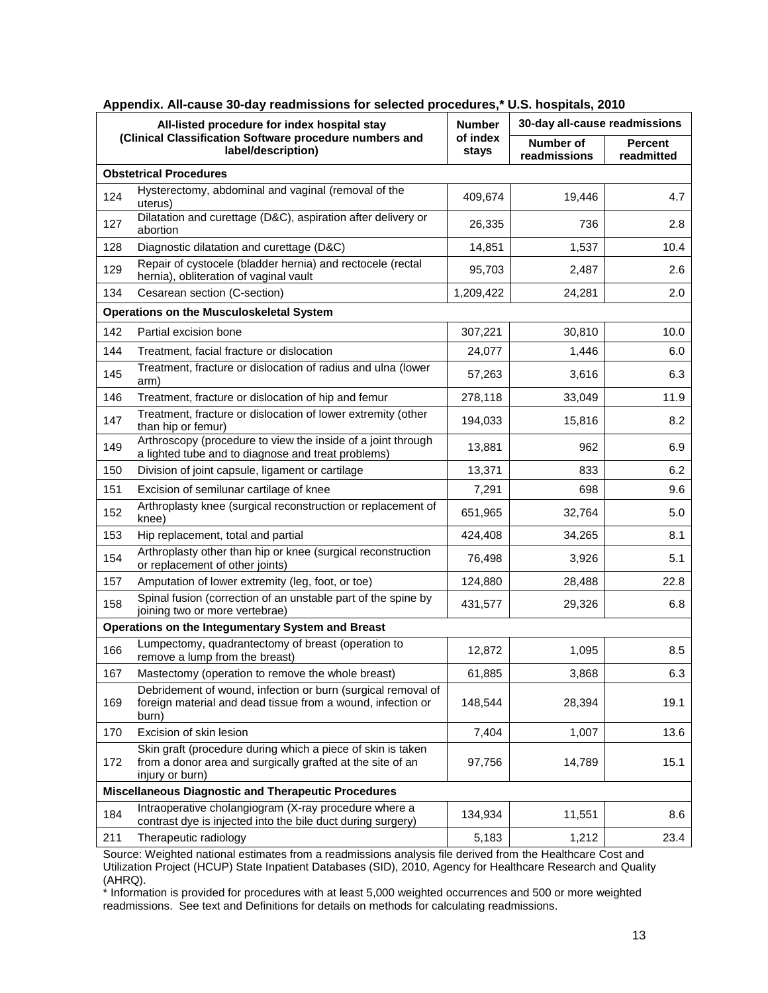| All-listed procedure for index hospital stay |                                                                                                                                              | <b>Number</b> | 30-day all-cause readmissions    |                              |  |
|----------------------------------------------|----------------------------------------------------------------------------------------------------------------------------------------------|---------------|----------------------------------|------------------------------|--|
|                                              | (Clinical Classification Software procedure numbers and<br>of index<br>label/description)<br>stays                                           |               | <b>Number of</b><br>readmissions | <b>Percent</b><br>readmitted |  |
| <b>Obstetrical Procedures</b>                |                                                                                                                                              |               |                                  |                              |  |
| 124                                          | Hysterectomy, abdominal and vaginal (removal of the<br>uterus)                                                                               | 409,674       | 19,446                           | 4.7                          |  |
| 127                                          | Dilatation and curettage (D&C), aspiration after delivery or<br>abortion                                                                     | 26,335        | 736                              | 2.8                          |  |
| 128                                          | Diagnostic dilatation and curettage (D&C)                                                                                                    | 14,851        | 1,537                            | 10.4                         |  |
| 129                                          | Repair of cystocele (bladder hernia) and rectocele (rectal<br>hernia), obliteration of vaginal vault                                         | 95,703        | 2,487                            | 2.6                          |  |
| 134                                          | Cesarean section (C-section)                                                                                                                 | 1,209,422     | 24,281                           | 2.0                          |  |
|                                              | <b>Operations on the Musculoskeletal System</b>                                                                                              |               |                                  |                              |  |
| 142                                          | Partial excision bone                                                                                                                        | 307,221       | 30,810                           | 10.0                         |  |
| 144                                          | Treatment, facial fracture or dislocation                                                                                                    | 24,077        | 1,446                            | 6.0                          |  |
| 145                                          | Treatment, fracture or dislocation of radius and ulna (lower<br>arm)                                                                         | 57,263        | 3,616                            | 6.3                          |  |
| 146                                          | Treatment, fracture or dislocation of hip and femur                                                                                          | 278,118       | 33,049                           | 11.9                         |  |
| 147                                          | Treatment, fracture or dislocation of lower extremity (other<br>than hip or femur)                                                           | 194,033       | 15,816                           | 8.2                          |  |
| 149                                          | Arthroscopy (procedure to view the inside of a joint through<br>a lighted tube and to diagnose and treat problems)                           | 13,881        | 962                              | 6.9                          |  |
| 150                                          | Division of joint capsule, ligament or cartilage                                                                                             | 13,371        | 833                              | 6.2                          |  |
| 151                                          | Excision of semilunar cartilage of knee                                                                                                      | 7,291         | 698                              | 9.6                          |  |
| 152                                          | Arthroplasty knee (surgical reconstruction or replacement of<br>knee)                                                                        | 651,965       | 32,764                           | 5.0                          |  |
| 153                                          | Hip replacement, total and partial                                                                                                           | 424,408       | 34,265                           | 8.1                          |  |
| 154                                          | Arthroplasty other than hip or knee (surgical reconstruction<br>or replacement of other joints)                                              | 76,498        | 3,926                            | 5.1                          |  |
| 157                                          | Amputation of lower extremity (leg, foot, or toe)                                                                                            | 124,880       | 28,488                           | 22.8                         |  |
| 158                                          | Spinal fusion (correction of an unstable part of the spine by<br>joining two or more vertebrae)                                              | 431,577       | 29,326                           | 6.8                          |  |
|                                              | Operations on the Integumentary System and Breast                                                                                            |               |                                  |                              |  |
| 166                                          | Lumpectomy, quadrantectomy of breast (operation to<br>remove a lump from the breast)                                                         | 12,872        | 1,095                            | 8.5                          |  |
| 167                                          | Mastectomy (operation to remove the whole breast)                                                                                            | 61,885        | 3,868                            | 6.3                          |  |
| 169                                          | Debridement of wound, infection or burn (surgical removal of<br>foreign material and dead tissue from a wound, infection or<br>burn)         | 148,544       | 28,394                           | 19.1                         |  |
| 170                                          | Excision of skin lesion                                                                                                                      | 7,404         | 1,007                            | 13.6                         |  |
| 172                                          | Skin graft (procedure during which a piece of skin is taken<br>from a donor area and surgically grafted at the site of an<br>injury or burn) | 97,756        | 14,789                           | 15.1                         |  |
|                                              | <b>Miscellaneous Diagnostic and Therapeutic Procedures</b>                                                                                   |               |                                  |                              |  |
| 184                                          | Intraoperative cholangiogram (X-ray procedure where a<br>contrast dye is injected into the bile duct during surgery)                         | 134,934       | 11,551                           | 8.6                          |  |
| 211                                          | Therapeutic radiology                                                                                                                        | 5,183         | 1,212                            | 23.4                         |  |

| Appendix. All-cause 30-day readmissions for selected procedures,* U.S. hospitals, 2010 |  |
|----------------------------------------------------------------------------------------|--|
|                                                                                        |  |

Source: Weighted national estimates from a readmissions analysis file derived from the Healthcare Cost and Utilization Project (HCUP) State Inpatient Databases (SID), 2010, Agency for Healthcare Research and Quality (AHRQ).

\* Information is provided for procedures with at least 5,000 weighted occurrences and 500 or more weighted readmissions. See text and Definitions for details on methods for calculating readmissions.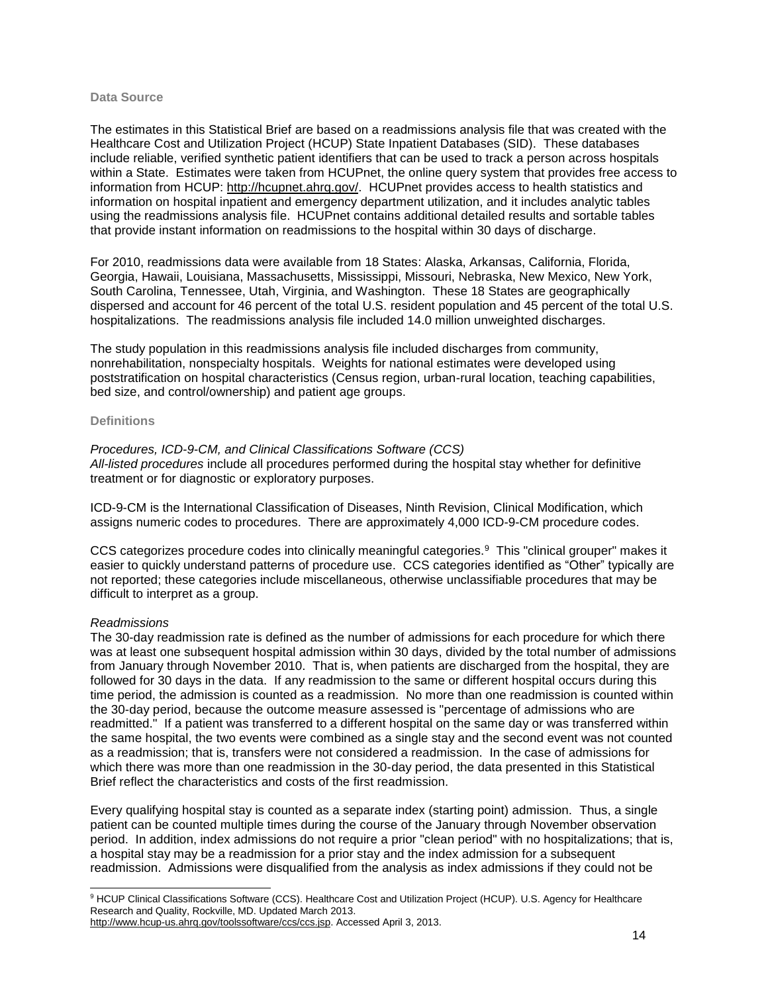#### **Data Source**

The estimates in this Statistical Brief are based on a readmissions analysis file that was created with the Healthcare Cost and Utilization Project (HCUP) State Inpatient Databases (SID). These databases include reliable, verified synthetic patient identifiers that can be used to track a person across hospitals within a State. Estimates were taken from HCUPnet, the online query system that provides free access to information from HCUP: [http://hcupnet.ahrq.gov/.](http://hcupnet.ahrq.gov/) HCUPnet provides access to health statistics and information on hospital inpatient and emergency department utilization, and it includes analytic tables using the readmissions analysis file. HCUPnet contains additional detailed results and sortable tables that provide instant information on readmissions to the hospital within 30 days of discharge.

For 2010, readmissions data were available from 18 States: Alaska, Arkansas, California, Florida, Georgia, Hawaii, Louisiana, Massachusetts, Mississippi, Missouri, Nebraska, New Mexico, New York, South Carolina, Tennessee, Utah, Virginia, and Washington. These 18 States are geographically dispersed and account for 46 percent of the total U.S. resident population and 45 percent of the total U.S. hospitalizations. The readmissions analysis file included 14.0 million unweighted discharges.

The study population in this readmissions analysis file included discharges from community, nonrehabilitation, nonspecialty hospitals. Weights for national estimates were developed using poststratification on hospital characteristics (Census region, urban-rural location, teaching capabilities, bed size, and control/ownership) and patient age groups.

#### **Definitions**

#### *Procedures, ICD-9-CM, and Clinical Classifications Software (CCS)*

*All-listed procedures* include all procedures performed during the hospital stay whether for definitive treatment or for diagnostic or exploratory purposes.

ICD-9-CM is the International Classification of Diseases, Ninth Revision, Clinical Modification, which assigns numeric codes to procedures. There are approximately 4,000 ICD-9-CM procedure codes.

CCS categorizes procedure codes into clinically meaningful categories.<sup>9</sup> This "clinical grouper" makes it easier to quickly understand patterns of procedure use. CCS categories identified as "Other" typically are not reported; these categories include miscellaneous, otherwise unclassifiable procedures that may be difficult to interpret as a group.

#### *Readmissions*

The 30-day readmission rate is defined as the number of admissions for each procedure for which there was at least one subsequent hospital admission within 30 days, divided by the total number of admissions from January through November 2010. That is, when patients are discharged from the hospital, they are followed for 30 days in the data. If any readmission to the same or different hospital occurs during this time period, the admission is counted as a readmission. No more than one readmission is counted within the 30-day period, because the outcome measure assessed is "percentage of admissions who are readmitted." If a patient was transferred to a different hospital on the same day or was transferred within the same hospital, the two events were combined as a single stay and the second event was not counted as a readmission; that is, transfers were not considered a readmission. In the case of admissions for which there was more than one readmission in the 30-day period, the data presented in this Statistical Brief reflect the characteristics and costs of the first readmission.

Every qualifying hospital stay is counted as a separate index (starting point) admission. Thus, a single patient can be counted multiple times during the course of the January through November observation period. In addition, index admissions do not require a prior "clean period" with no hospitalizations; that is, a hospital stay may be a readmission for a prior stay and the index admission for a subsequent readmission. Admissions were disqualified from the analysis as index admissions if they could not be

l <sup>9</sup> HCUP Clinical Classifications Software (CCS). Healthcare Cost and Utilization Project (HCUP). U.S. Agency for Healthcare Research and Quality, Rockville, MD. Updated March 2013.

[http://www.hcup-us.ahrq.gov/toolssoftware/ccs/ccs.jsp.](http://www.hcup-us.ahrq.gov/toolssoftware/ccs/ccs.jsp) Accessed April 3, 2013.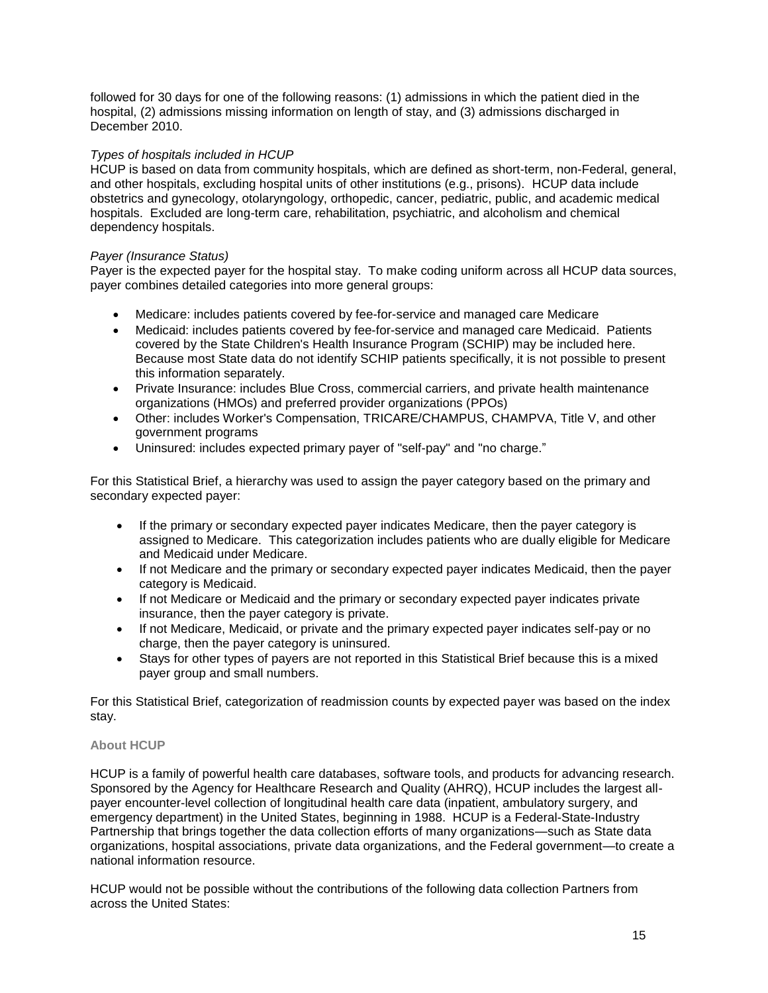followed for 30 days for one of the following reasons: (1) admissions in which the patient died in the hospital, (2) admissions missing information on length of stay, and (3) admissions discharged in December 2010.

#### *Types of hospitals included in HCUP*

HCUP is based on data from community hospitals, which are defined as short-term, non-Federal, general, and other hospitals, excluding hospital units of other institutions (e.g., prisons). HCUP data include obstetrics and gynecology, otolaryngology, orthopedic, cancer, pediatric, public, and academic medical hospitals. Excluded are long-term care, rehabilitation, psychiatric, and alcoholism and chemical dependency hospitals.

#### *Payer (Insurance Status)*

Payer is the expected payer for the hospital stay. To make coding uniform across all HCUP data sources, payer combines detailed categories into more general groups:

- Medicare: includes patients covered by fee-for-service and managed care Medicare
- Medicaid: includes patients covered by fee-for-service and managed care Medicaid. Patients covered by the State Children's Health Insurance Program (SCHIP) may be included here. Because most State data do not identify SCHIP patients specifically, it is not possible to present this information separately.
- Private Insurance: includes Blue Cross, commercial carriers, and private health maintenance organizations (HMOs) and preferred provider organizations (PPOs)
- Other: includes Worker's Compensation, TRICARE/CHAMPUS, CHAMPVA, Title V, and other government programs
- Uninsured: includes expected primary payer of "self-pay" and "no charge."

For this Statistical Brief, a hierarchy was used to assign the payer category based on the primary and secondary expected payer:

- If the primary or secondary expected payer indicates Medicare, then the payer category is assigned to Medicare. This categorization includes patients who are dually eligible for Medicare and Medicaid under Medicare.
- If not Medicare and the primary or secondary expected payer indicates Medicaid, then the payer category is Medicaid.
- If not Medicare or Medicaid and the primary or secondary expected payer indicates private insurance, then the payer category is private.
- If not Medicare, Medicaid, or private and the primary expected payer indicates self-pay or no charge, then the payer category is uninsured.
- Stays for other types of payers are not reported in this Statistical Brief because this is a mixed payer group and small numbers.

For this Statistical Brief, categorization of readmission counts by expected payer was based on the index stay.

#### **About HCUP**

HCUP is a family of powerful health care databases, software tools, and products for advancing research. Sponsored by the Agency for Healthcare Research and Quality (AHRQ), HCUP includes the largest allpayer encounter-level collection of longitudinal health care data (inpatient, ambulatory surgery, and emergency department) in the United States, beginning in 1988. HCUP is a Federal-State-Industry Partnership that brings together the data collection efforts of many organizations—such as State data organizations, hospital associations, private data organizations, and the Federal government—to create a national information resource.

HCUP would not be possible without the contributions of the following data collection Partners from across the United States: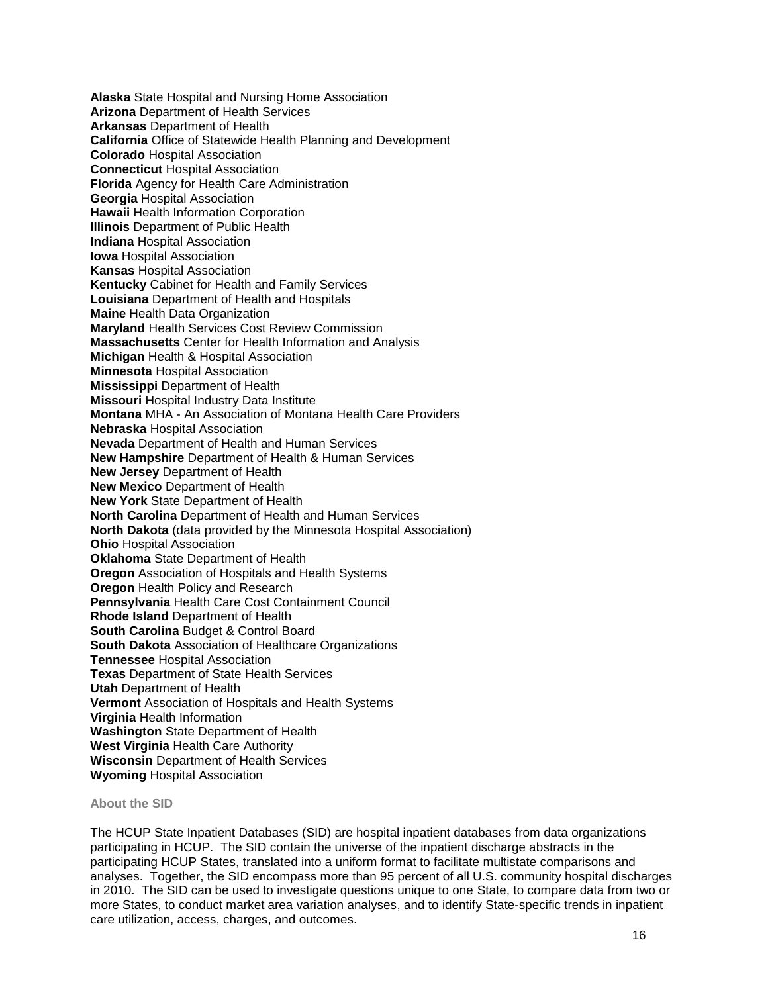**Alaska** State Hospital and Nursing Home Association **Arizona** Department of Health Services **Arkansas** Department of Health **California** Office of Statewide Health Planning and Development **Colorado** Hospital Association **Connecticut** Hospital Association **Florida** Agency for Health Care Administration **Georgia** Hospital Association **Hawaii** Health Information Corporation **Illinois** Department of Public Health **Indiana** Hospital Association **Iowa** Hospital Association **Kansas** Hospital Association **Kentucky** Cabinet for Health and Family Services **Louisiana** Department of Health and Hospitals **Maine** Health Data Organization **Maryland** Health Services Cost Review Commission **Massachusetts** Center for Health Information and Analysis **Michigan** Health & Hospital Association **Minnesota** Hospital Association **Mississippi** Department of Health **Missouri** Hospital Industry Data Institute **Montana** MHA - An Association of Montana Health Care Providers **Nebraska** Hospital Association **Nevada** Department of Health and Human Services **New Hampshire** Department of Health & Human Services **New Jersey** Department of Health **New Mexico** Department of Health **New York** State Department of Health **North Carolina** Department of Health and Human Services **North Dakota** (data provided by the Minnesota Hospital Association) **Ohio** Hospital Association **Oklahoma** State Department of Health **Oregon** Association of Hospitals and Health Systems **Oregon** Health Policy and Research **Pennsylvania** Health Care Cost Containment Council **Rhode Island** Department of Health **South Carolina** Budget & Control Board **South Dakota** Association of Healthcare Organizations **Tennessee** Hospital Association **Texas** Department of State Health Services **Utah** Department of Health **Vermont** Association of Hospitals and Health Systems **Virginia** Health Information **Washington** State Department of Health **West Virginia** Health Care Authority **Wisconsin** Department of Health Services **Wyoming** Hospital Association

#### **About the SID**

The HCUP State Inpatient Databases (SID) are hospital inpatient databases from data organizations participating in HCUP. The SID contain the universe of the inpatient discharge abstracts in the participating HCUP States, translated into a uniform format to facilitate multistate comparisons and analyses. Together, the SID encompass more than 95 percent of all U.S. community hospital discharges in 2010. The SID can be used to investigate questions unique to one State, to compare data from two or more States, to conduct market area variation analyses, and to identify State-specific trends in inpatient care utilization, access, charges, and outcomes.